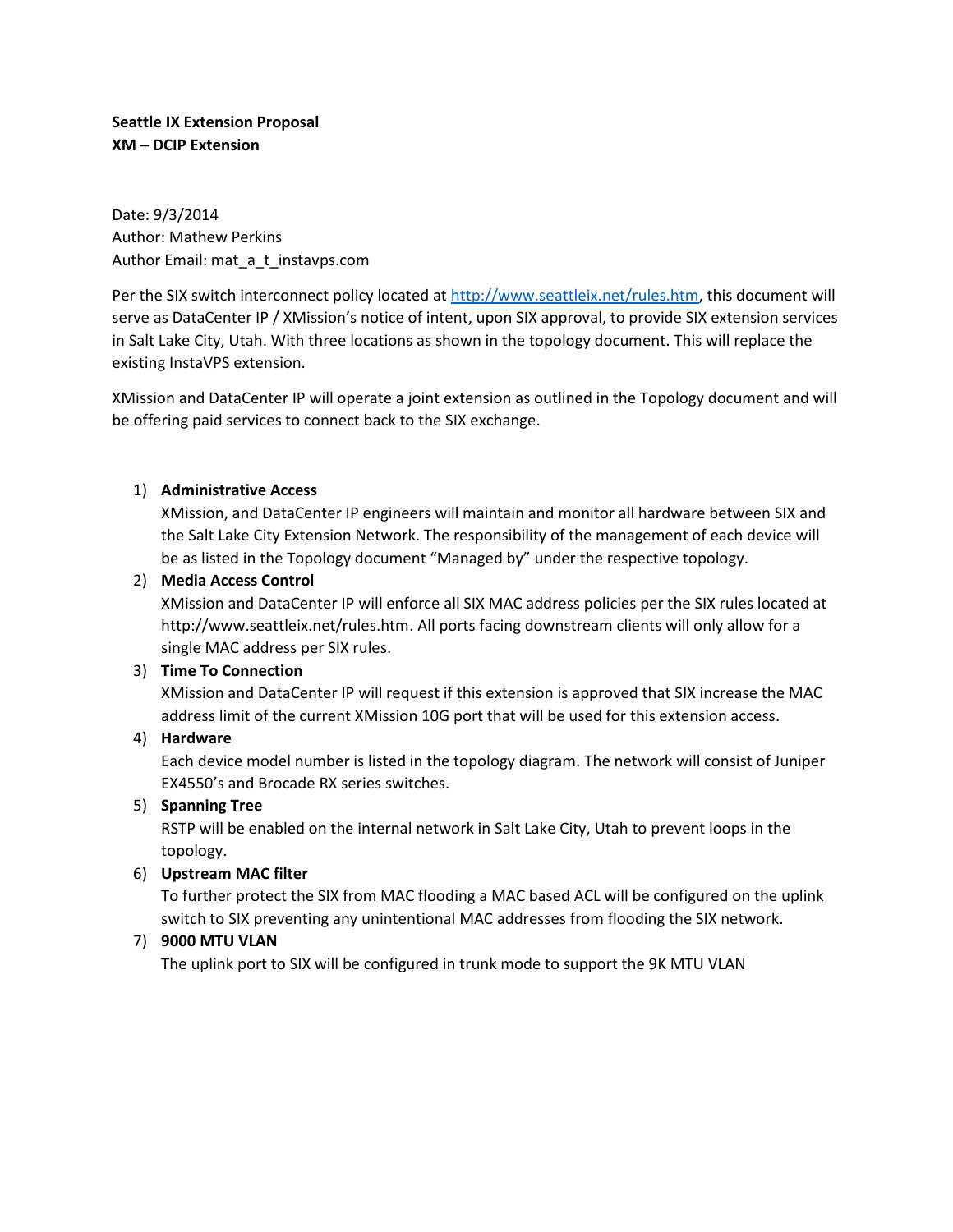**Seattle IX Extension Proposal XM – DCIP Extension**

Date: 9/3/2014 Author: Mathew Perkins Author Email: mat\_a\_t\_instavps.com

Per the SIX switch interconnect policy located a[t http://www.seattleix.net/rules.htm,](http://www.seattleix.net/rules.htm) this document will serve as DataCenter IP / XMission's notice of intent, upon SIX approval, to provide SIX extension services in Salt Lake City, Utah. With three locations as shown in the topology document. This will replace the existing InstaVPS extension.

XMission and DataCenter IP will operate a joint extension as outlined in the Topology document and will be offering paid services to connect back to the SIX exchange.

### 1) **Administrative Access**

XMission, and DataCenter IP engineers will maintain and monitor all hardware between SIX and the Salt Lake City Extension Network. The responsibility of the management of each device will be as listed in the Topology document "Managed by" under the respective topology.

### 2) **Media Access Control**

XMission and DataCenter IP will enforce all SIX MAC address policies per the SIX rules located at http://www.seattleix.net/rules.htm. All ports facing downstream clients will only allow for a single MAC address per SIX rules.

# 3) **Time To Connection**

XMission and DataCenter IP will request if this extension is approved that SIX increase the MAC address limit of the current XMission 10G port that will be used for this extension access.

# 4) **Hardware**

Each device model number is listed in the topology diagram. The network will consist of Juniper EX4550's and Brocade RX series switches.

#### 5) **Spanning Tree**

RSTP will be enabled on the internal network in Salt Lake City, Utah to prevent loops in the topology.

# 6) **Upstream MAC filter**

To further protect the SIX from MAC flooding a MAC based ACL will be configured on the uplink switch to SIX preventing any unintentional MAC addresses from flooding the SIX network.

# 7) **9000 MTU VLAN**

The uplink port to SIX will be configured in trunk mode to support the 9K MTU VLAN